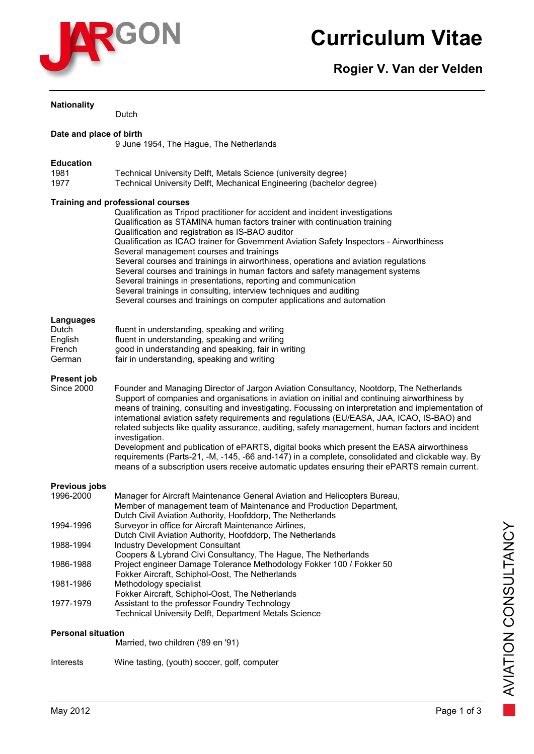

# **Curriculum Vitae**

**Rogier V. Van der Velden**

| <b>Nationality</b>                                | Dutch                                                                                                                                                                                                                                                                                                                                                                                                                                                                                                                                                                                                                                                                                                                                                                                                                 |
|---------------------------------------------------|-----------------------------------------------------------------------------------------------------------------------------------------------------------------------------------------------------------------------------------------------------------------------------------------------------------------------------------------------------------------------------------------------------------------------------------------------------------------------------------------------------------------------------------------------------------------------------------------------------------------------------------------------------------------------------------------------------------------------------------------------------------------------------------------------------------------------|
| Date and place of birth                           | 9 June 1954, The Hague, The Netherlands                                                                                                                                                                                                                                                                                                                                                                                                                                                                                                                                                                                                                                                                                                                                                                               |
| <b>Education</b><br>1981<br>1977                  | Technical University Delft, Metals Science (university degree)<br>Technical University Delft, Mechanical Engineering (bachelor degree)                                                                                                                                                                                                                                                                                                                                                                                                                                                                                                                                                                                                                                                                                |
|                                                   | <b>Training and professional courses</b><br>Qualification as Tripod practitioner for accident and incident investigations<br>Qualification as STAMINA human factors trainer with continuation training<br>Qualification and registration as IS-BAO auditor<br>Qualification as ICAO trainer for Government Aviation Safety Inspectors - Airworthiness<br>Several management courses and trainings<br>Several courses and trainings in airworthiness, operations and aviation regulations<br>Several courses and trainings in human factors and safety management systems<br>Several trainings in presentations, reporting and communication<br>Several trainings in consulting, interview techniques and auditing<br>Several courses and trainings on computer applications and automation                            |
| Languages<br>Dutch<br>English<br>French<br>German | fluent in understanding, speaking and writing<br>fluent in understanding, speaking and writing<br>good in understanding and speaking, fair in writing<br>fair in understanding, speaking and writing                                                                                                                                                                                                                                                                                                                                                                                                                                                                                                                                                                                                                  |
| <b>Present job</b><br><b>Since 2000</b>           | Founder and Managing Director of Jargon Aviation Consultancy, Nootdorp, The Netherlands<br>Support of companies and organisations in aviation on initial and continuing airworthiness by<br>means of training, consulting and investigating. Focussing on interpretation and implementation of<br>international aviation safety requirements and regulations (EU/EASA, JAA, ICAO, IS-BAO) and<br>related subjects like quality assurance, auditing, safety management, human factors and incident<br>investigation.<br>Development and publication of ePARTS, digital books which present the EASA airworthiness<br>requirements (Parts-21, -M, -145, -66 and-147) in a complete, consolidated and clickable way. By<br>means of a subscription users receive automatic updates ensuring their ePARTS remain current. |
| Previous jobs<br>1996-2000                        | Manager for Aircraft Maintenance General Aviation and Helicopters Bureau,<br>Member of management team of Maintenance and Production Department,                                                                                                                                                                                                                                                                                                                                                                                                                                                                                                                                                                                                                                                                      |
| 1994-1996                                         | Dutch Civil Aviation Authority, Hoofddorp, The Netherlands<br>Surveyor in office for Aircraft Maintenance Airlines,                                                                                                                                                                                                                                                                                                                                                                                                                                                                                                                                                                                                                                                                                                   |
| 1988-1994                                         | Dutch Civil Aviation Authority, Hoofddorp, The Netherlands<br><b>Industry Development Consultant</b>                                                                                                                                                                                                                                                                                                                                                                                                                                                                                                                                                                                                                                                                                                                  |
| 1986-1988                                         | Coopers & Lybrand Civi Consultancy, The Hague, The Netherlands<br>Project engineer Damage Tolerance Methodology Fokker 100 / Fokker 50<br>Fokker Aircraft, Schiphol-Oost, The Netherlands                                                                                                                                                                                                                                                                                                                                                                                                                                                                                                                                                                                                                             |
| 1981-1986                                         | Methodology specialist<br>Fokker Aircraft, Schiphol-Oost, The Netherlands                                                                                                                                                                                                                                                                                                                                                                                                                                                                                                                                                                                                                                                                                                                                             |
| 1977-1979                                         | Assistant to the professor Foundry Technology<br><b>Technical University Delft, Department Metals Science</b>                                                                                                                                                                                                                                                                                                                                                                                                                                                                                                                                                                                                                                                                                                         |
| <b>Personal situation</b>                         | Married, two children ('89 en '91)                                                                                                                                                                                                                                                                                                                                                                                                                                                                                                                                                                                                                                                                                                                                                                                    |

Interests Wine tasting, (youth) soccer, golf, computer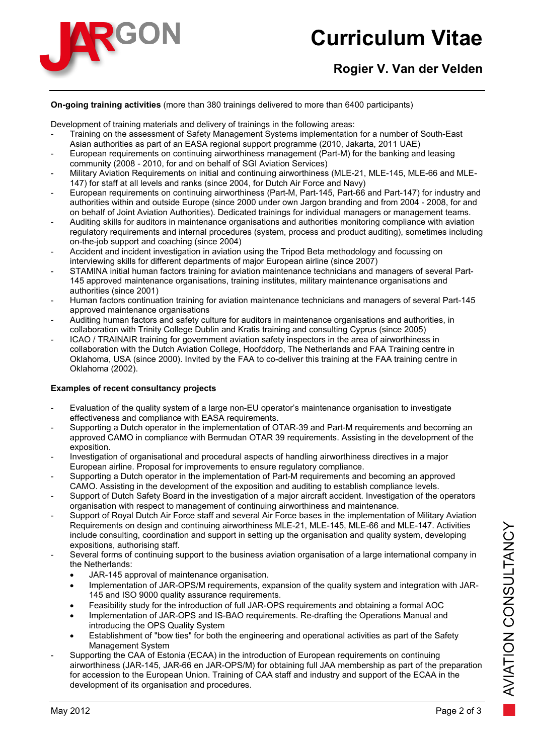

# **Curriculum Vitae**

# **Rogier V. Van der Velden**

#### **On-going training activities** (more than 380 trainings delivered to more than 6400 participants)

Development of training materials and delivery of trainings in the following areas:

- Training on the assessment of Safety Management Systems implementation for a number of South-East Asian authorities as part of an EASA regional support programme (2010, Jakarta, 2011 UAE)
- European requirements on continuing airworthiness management (Part-M) for the banking and leasing community (2008 - 2010, for and on behalf of SGI Aviation Services)
- Military Aviation Requirements on initial and continuing airworthiness (MLE-21, MLE-145, MLE-66 and MLE-147) for staff at all levels and ranks (since 2004, for Dutch Air Force and Navy)
- European requirements on continuing airworthiness (Part-M, Part-145, Part-66 and Part-147) for industry and authorities within and outside Europe (since 2000 under own Jargon branding and from 2004 - 2008, for and on behalf of Joint Aviation Authorities). Dedicated trainings for individual managers or management teams.
- Auditing skills for auditors in maintenance organisations and authorities monitoring compliance with aviation regulatory requirements and internal procedures (system, process and product auditing), sometimes including on-the-job support and coaching (since 2004)
- Accident and incident investigation in aviation using the Tripod Beta methodology and focussing on interviewing skills for different departments of major European airline (since 2007)
- STAMINA initial human factors training for aviation maintenance technicians and managers of several Part-145 approved maintenance organisations, training institutes, military maintenance organisations and authorities (since 2001)
- Human factors continuation training for aviation maintenance technicians and managers of several Part-145 approved maintenance organisations
- Auditing human factors and safety culture for auditors in maintenance organisations and authorities, in collaboration with Trinity College Dublin and Kratis training and consulting Cyprus (since 2005)
- ICAO / TRAINAIR training for government aviation safety inspectors in the area of airworthiness in collaboration with the Dutch Aviation College, Hoofddorp, The Netherlands and FAA Training centre in Oklahoma, USA (since 2000). Invited by the FAA to co-deliver this training at the FAA training centre in Oklahoma (2002).

## **Examples of recent consultancy projects**

- Evaluation of the quality system of a large non-EU operator's maintenance organisation to investigate effectiveness and compliance with EASA requirements.
- Supporting a Dutch operator in the implementation of OTAR-39 and Part-M requirements and becoming an approved CAMO in compliance with Bermudan OTAR 39 requirements. Assisting in the development of the exposition.
- Investigation of organisational and procedural aspects of handling airworthiness directives in a major European airline. Proposal for improvements to ensure regulatory compliance.
- Supporting a Dutch operator in the implementation of Part-M requirements and becoming an approved CAMO. Assisting in the development of the exposition and auditing to establish compliance levels.
- Support of Dutch Safety Board in the investigation of a major aircraft accident. Investigation of the operators organisation with respect to management of continuing airworthiness and maintenance.
- Support of Royal Dutch Air Force staff and several Air Force bases in the implementation of Military Aviation Requirements on design and continuing airworthiness MLE-21, MLE-145, MLE-66 and MLE-147. Activities include consulting, coordination and support in setting up the organisation and quality system, developing expositions, authorising staff.
- Several forms of continuing support to the business aviation organisation of a large international company in the Netherlands:
	- JAR-145 approval of maintenance organisation.
	- Implementation of JAR-OPS/M requirements, expansion of the quality system and integration with JAR-145 and ISO 9000 quality assurance requirements.
	- Feasibility study for the introduction of full JAR-OPS requirements and obtaining a formal AOC
	- Implementation of JAR-OPS and IS-BAO requirements. Re-drafting the Operations Manual and introducing the OPS Quality System
	- Establishment of "bow ties" for both the engineering and operational activities as part of the Safety Management System
- Supporting the CAA of Estonia (ECAA) in the introduction of European requirements on continuing airworthiness (JAR-145, JAR-66 en JAR-OPS/M) for obtaining full JAA membership as part of the preparation for accession to the European Union. Training of CAA staff and industry and support of the ECAA in the development of its organisation and procedures.